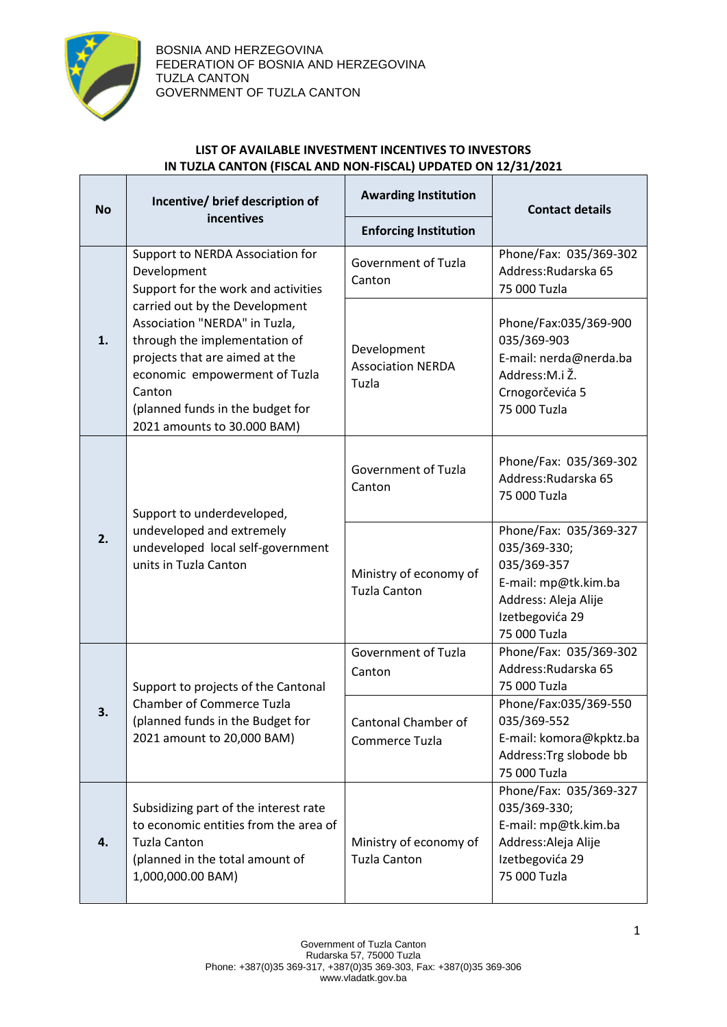

T

Г

## **LIST OF AVAILABLE INVESTMENT INCENTIVES TO INVESTORS IN TUZLA CANTON (FISCAL AND NON-FISCAL) UPDATED ON 12/31/2021**

| <b>No</b>                                                                                                                                                                                                                                                                                                                                        | Incentive/ brief description of                                                                                                                               | <b>Awarding Institution</b>                                                                                         | <b>Contact details</b>                                                                                                                   |
|--------------------------------------------------------------------------------------------------------------------------------------------------------------------------------------------------------------------------------------------------------------------------------------------------------------------------------------------------|---------------------------------------------------------------------------------------------------------------------------------------------------------------|---------------------------------------------------------------------------------------------------------------------|------------------------------------------------------------------------------------------------------------------------------------------|
|                                                                                                                                                                                                                                                                                                                                                  | incentives                                                                                                                                                    | <b>Enforcing Institution</b>                                                                                        |                                                                                                                                          |
| Support to NERDA Association for<br>Development<br>Support for the work and activities<br>carried out by the Development<br>Association "NERDA" in Tuzla,<br>through the implementation of<br>1.<br>projects that are aimed at the<br>economic empowerment of Tuzla<br>Canton<br>(planned funds in the budget for<br>2021 amounts to 30.000 BAM) |                                                                                                                                                               | <b>Government of Tuzla</b><br>Canton                                                                                | Phone/Fax: 035/369-302<br>Address: Rudarska 65<br>75 000 Tuzla                                                                           |
|                                                                                                                                                                                                                                                                                                                                                  | Development<br><b>Association NERDA</b><br>Tuzla                                                                                                              | Phone/Fax:035/369-900<br>035/369-903<br>E-mail: nerda@nerda.ba<br>Address:M.i Ž.<br>Crnogorčevića 5<br>75 000 Tuzla |                                                                                                                                          |
| 2.                                                                                                                                                                                                                                                                                                                                               | Support to underdeveloped,<br>undeveloped and extremely<br>undeveloped local self-government<br>units in Tuzla Canton                                         | Government of Tuzla<br>Canton                                                                                       | Phone/Fax: 035/369-302<br>Address: Rudarska 65<br>75 000 Tuzla                                                                           |
|                                                                                                                                                                                                                                                                                                                                                  |                                                                                                                                                               | Ministry of economy of<br><b>Tuzla Canton</b>                                                                       | Phone/Fax: 035/369-327<br>035/369-330;<br>035/369-357<br>E-mail: mp@tk.kim.ba<br>Address: Aleja Alije<br>Izetbegovića 29<br>75 000 Tuzla |
| 3.                                                                                                                                                                                                                                                                                                                                               | Support to projects of the Cantonal<br><b>Chamber of Commerce Tuzla</b><br>(planned funds in the Budget for<br>2021 amount to 20,000 BAM)                     | <b>Government of Tuzla</b><br>Canton                                                                                | Phone/Fax: 035/369-302<br>Address: Rudarska 65<br>75 000 Tuzla                                                                           |
|                                                                                                                                                                                                                                                                                                                                                  |                                                                                                                                                               | Cantonal Chamber of<br>Commerce Tuzla                                                                               | Phone/Fax:035/369-550<br>035/369-552<br>E-mail: komora@kpktz.ba<br>Address: Trg slobode bb<br>75 000 Tuzla                               |
| 4.                                                                                                                                                                                                                                                                                                                                               | Subsidizing part of the interest rate<br>to economic entities from the area of<br><b>Tuzla Canton</b><br>(planned in the total amount of<br>1,000,000.00 BAM) | Ministry of economy of<br><b>Tuzla Canton</b>                                                                       | Phone/Fax: 035/369-327<br>035/369-330;<br>E-mail: mp@tk.kim.ba<br>Address: Aleja Alije<br>Izetbegovića 29<br>75 000 Tuzla                |

٦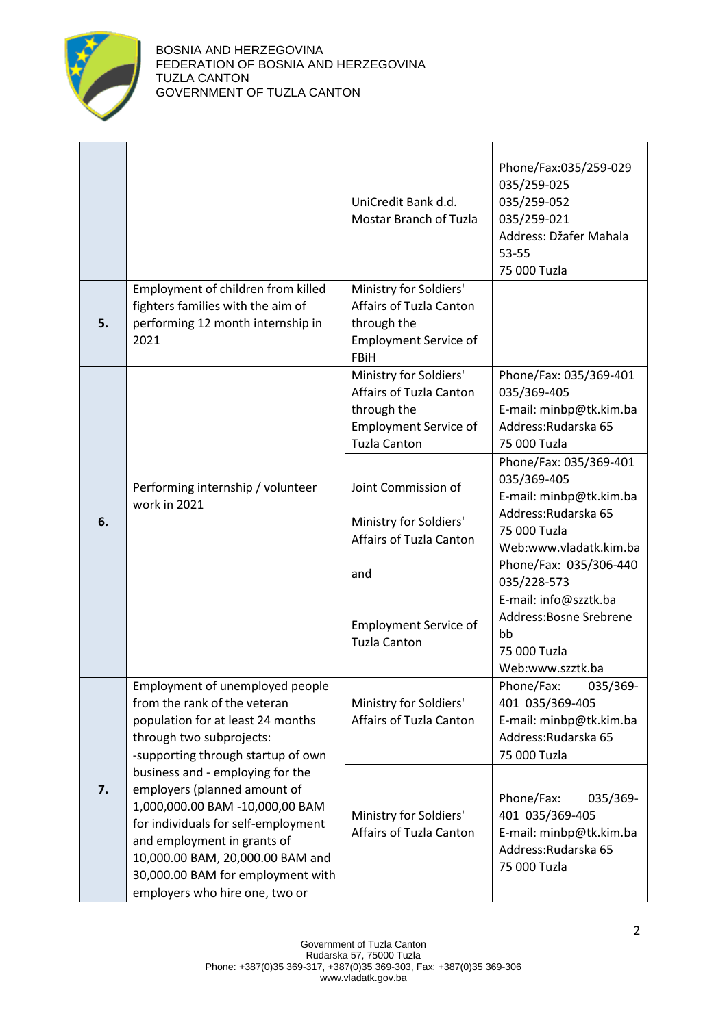

|    |                                                                                                                                                                                                                                                                                                                                                                                                                                                                | UniCredit Bank d.d.<br><b>Mostar Branch of Tuzla</b>                                                                                   | Phone/Fax:035/259-029<br>035/259-025<br>035/259-052<br>035/259-021<br>Address: Džafer Mahala<br>53-55<br>75 000 Tuzla                                                                                                                                                     |
|----|----------------------------------------------------------------------------------------------------------------------------------------------------------------------------------------------------------------------------------------------------------------------------------------------------------------------------------------------------------------------------------------------------------------------------------------------------------------|----------------------------------------------------------------------------------------------------------------------------------------|---------------------------------------------------------------------------------------------------------------------------------------------------------------------------------------------------------------------------------------------------------------------------|
| 5. | Employment of children from killed<br>fighters families with the aim of<br>performing 12 month internship in<br>2021                                                                                                                                                                                                                                                                                                                                           | Ministry for Soldiers'<br>Affairs of Tuzla Canton<br>through the<br><b>Employment Service of</b><br><b>FBiH</b>                        |                                                                                                                                                                                                                                                                           |
|    |                                                                                                                                                                                                                                                                                                                                                                                                                                                                | Ministry for Soldiers'<br>Affairs of Tuzla Canton<br>through the<br><b>Employment Service of</b><br><b>Tuzla Canton</b>                | Phone/Fax: 035/369-401<br>035/369-405<br>E-mail: minbp@tk.kim.ba<br>Address: Rudarska 65<br>75 000 Tuzla                                                                                                                                                                  |
| 6. | Performing internship / volunteer<br>work in 2021                                                                                                                                                                                                                                                                                                                                                                                                              | Joint Commission of<br>Ministry for Soldiers'<br>Affairs of Tuzla Canton<br>and<br><b>Employment Service of</b><br><b>Tuzla Canton</b> | Phone/Fax: 035/369-401<br>035/369-405<br>E-mail: minbp@tk.kim.ba<br>Address: Rudarska 65<br>75 000 Tuzla<br>Web:www.vladatk.kim.ba<br>Phone/Fax: 035/306-440<br>035/228-573<br>E-mail: info@szztk.ba<br>Address: Bosne Srebrene<br>bb<br>75 000 Tuzla<br>Web:www.szztk.ba |
| 7. | Employment of unemployed people<br>from the rank of the veteran<br>population for at least 24 months<br>through two subprojects:<br>-supporting through startup of own<br>business and - employing for the<br>employers (planned amount of<br>1,000,000.00 BAM -10,000,00 BAM<br>for individuals for self-employment<br>and employment in grants of<br>10,000.00 BAM, 20,000.00 BAM and<br>30,000.00 BAM for employment with<br>employers who hire one, two or | Ministry for Soldiers'<br>Affairs of Tuzla Canton                                                                                      | Phone/Fax:<br>035/369-<br>401 035/369-405<br>E-mail: minbp@tk.kim.ba<br>Address: Rudarska 65<br>75 000 Tuzla                                                                                                                                                              |
|    |                                                                                                                                                                                                                                                                                                                                                                                                                                                                | Ministry for Soldiers'<br>Affairs of Tuzla Canton                                                                                      | Phone/Fax:<br>035/369-<br>401 035/369-405<br>E-mail: minbp@tk.kim.ba<br>Address: Rudarska 65<br>75 000 Tuzla                                                                                                                                                              |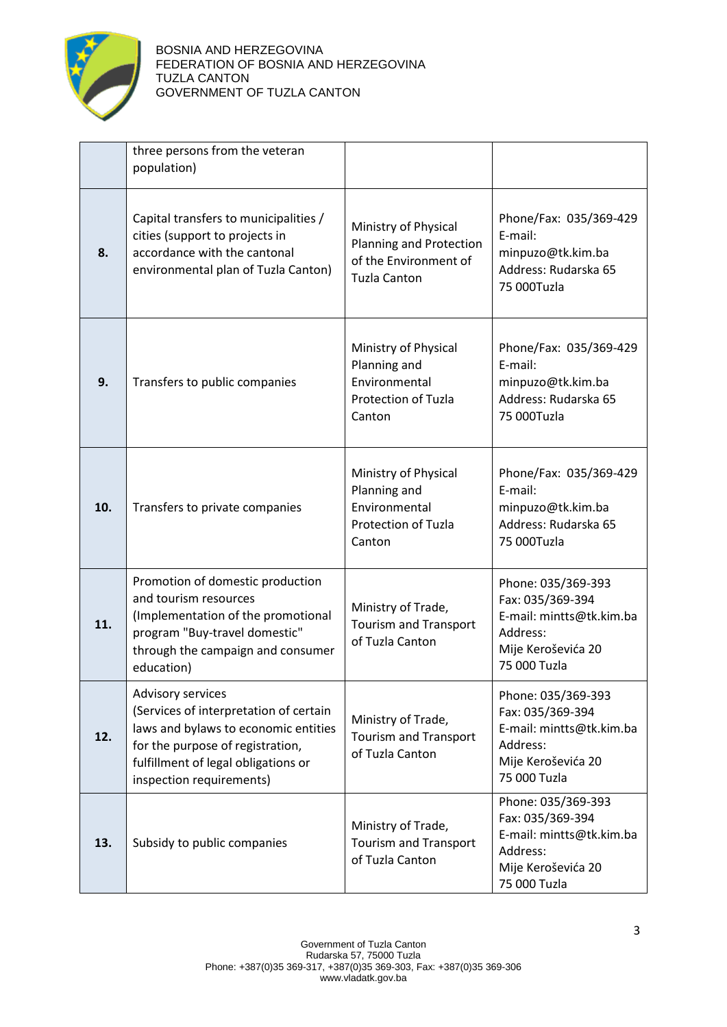

|     | three persons from the veteran<br>population)                                                                                                                                                              |                                                                                                 |                                                                                                                      |
|-----|------------------------------------------------------------------------------------------------------------------------------------------------------------------------------------------------------------|-------------------------------------------------------------------------------------------------|----------------------------------------------------------------------------------------------------------------------|
| 8.  | Capital transfers to municipalities /<br>cities (support to projects in<br>accordance with the cantonal<br>environmental plan of Tuzla Canton)                                                             | Ministry of Physical<br>Planning and Protection<br>of the Environment of<br><b>Tuzla Canton</b> | Phone/Fax: 035/369-429<br>E-mail:<br>minpuzo@tk.kim.ba<br>Address: Rudarska 65<br>75 000Tuzla                        |
| 9.  | Transfers to public companies                                                                                                                                                                              | Ministry of Physical<br>Planning and<br>Environmental<br><b>Protection of Tuzla</b><br>Canton   | Phone/Fax: 035/369-429<br>E-mail:<br>minpuzo@tk.kim.ba<br>Address: Rudarska 65<br>75 000Tuzla                        |
| 10. | Transfers to private companies                                                                                                                                                                             | Ministry of Physical<br>Planning and<br>Environmental<br>Protection of Tuzla<br>Canton          | Phone/Fax: 035/369-429<br>E-mail:<br>minpuzo@tk.kim.ba<br>Address: Rudarska 65<br>75 000Tuzla                        |
| 11. | Promotion of domestic production<br>and tourism resources<br>(Implementation of the promotional<br>program "Buy-travel domestic"<br>through the campaign and consumer<br>education)                        | Ministry of Trade,<br><b>Tourism and Transport</b><br>of Tuzla Canton                           | Phone: 035/369-393<br>Fax: 035/369-394<br>E-mail: mintts@tk.kim.ba<br>Address:<br>Mije Keroševića 20<br>75 000 Tuzla |
| 12. | Advisory services<br>(Services of interpretation of certain<br>laws and bylaws to economic entities<br>for the purpose of registration,<br>fulfillment of legal obligations or<br>inspection requirements) | Ministry of Trade,<br><b>Tourism and Transport</b><br>of Tuzla Canton                           | Phone: 035/369-393<br>Fax: 035/369-394<br>E-mail: mintts@tk.kim.ba<br>Address:<br>Mije Keroševića 20<br>75 000 Tuzla |
| 13. | Subsidy to public companies                                                                                                                                                                                | Ministry of Trade,<br><b>Tourism and Transport</b><br>of Tuzla Canton                           | Phone: 035/369-393<br>Fax: 035/369-394<br>E-mail: mintts@tk.kim.ba<br>Address:<br>Mije Keroševića 20<br>75 000 Tuzla |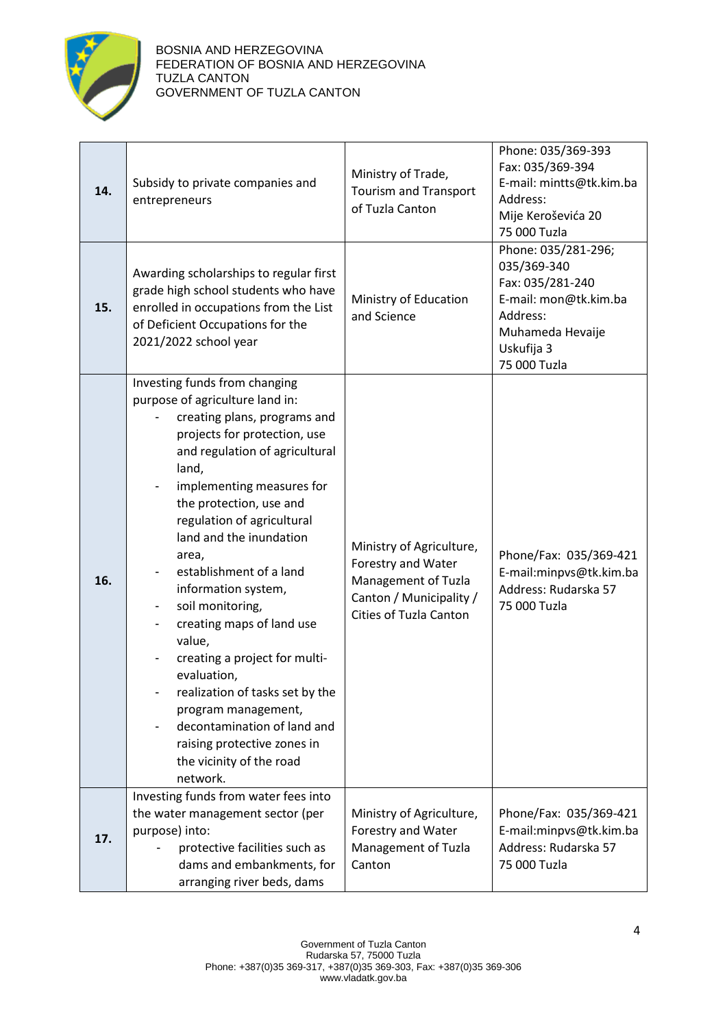

| 14. | Subsidy to private companies and<br>entrepreneurs                                                                                                                                                                                                                                                                                                                                                                                                                                                                                                                                                                                  | Ministry of Trade,<br><b>Tourism and Transport</b><br>of Tuzla Canton                                                             | Phone: 035/369-393<br>Fax: 035/369-394<br>E-mail: mintts@tk.kim.ba<br>Address:<br>Mije Keroševića 20<br>75 000 Tuzla                          |
|-----|------------------------------------------------------------------------------------------------------------------------------------------------------------------------------------------------------------------------------------------------------------------------------------------------------------------------------------------------------------------------------------------------------------------------------------------------------------------------------------------------------------------------------------------------------------------------------------------------------------------------------------|-----------------------------------------------------------------------------------------------------------------------------------|-----------------------------------------------------------------------------------------------------------------------------------------------|
| 15. | Awarding scholarships to regular first<br>grade high school students who have<br>enrolled in occupations from the List<br>of Deficient Occupations for the<br>2021/2022 school year                                                                                                                                                                                                                                                                                                                                                                                                                                                | Ministry of Education<br>and Science                                                                                              | Phone: 035/281-296;<br>035/369-340<br>Fax: 035/281-240<br>E-mail: mon@tk.kim.ba<br>Address:<br>Muhameda Hevaije<br>Uskufija 3<br>75 000 Tuzla |
| 16. | Investing funds from changing<br>purpose of agriculture land in:<br>creating plans, programs and<br>projects for protection, use<br>and regulation of agricultural<br>land,<br>implementing measures for<br>the protection, use and<br>regulation of agricultural<br>land and the inundation<br>area,<br>establishment of a land<br>information system,<br>soil monitoring,<br>creating maps of land use<br>value,<br>creating a project for multi-<br>evaluation,<br>realization of tasks set by the<br>program management,<br>decontamination of land and<br>raising protective zones in<br>the vicinity of the road<br>network. | Ministry of Agriculture,<br>Forestry and Water<br>Management of Tuzla<br>Canton / Municipality /<br><b>Cities of Tuzla Canton</b> | Phone/Fax: 035/369-421<br>E-mail:minpvs@tk.kim.ba<br>Address: Rudarska 57<br>75 000 Tuzla                                                     |
| 17. | Investing funds from water fees into<br>the water management sector (per<br>purpose) into:<br>protective facilities such as<br>dams and embankments, for<br>arranging river beds, dams                                                                                                                                                                                                                                                                                                                                                                                                                                             | Ministry of Agriculture,<br>Forestry and Water<br>Management of Tuzla<br>Canton                                                   | Phone/Fax: 035/369-421<br>E-mail:minpvs@tk.kim.ba<br>Address: Rudarska 57<br>75 000 Tuzla                                                     |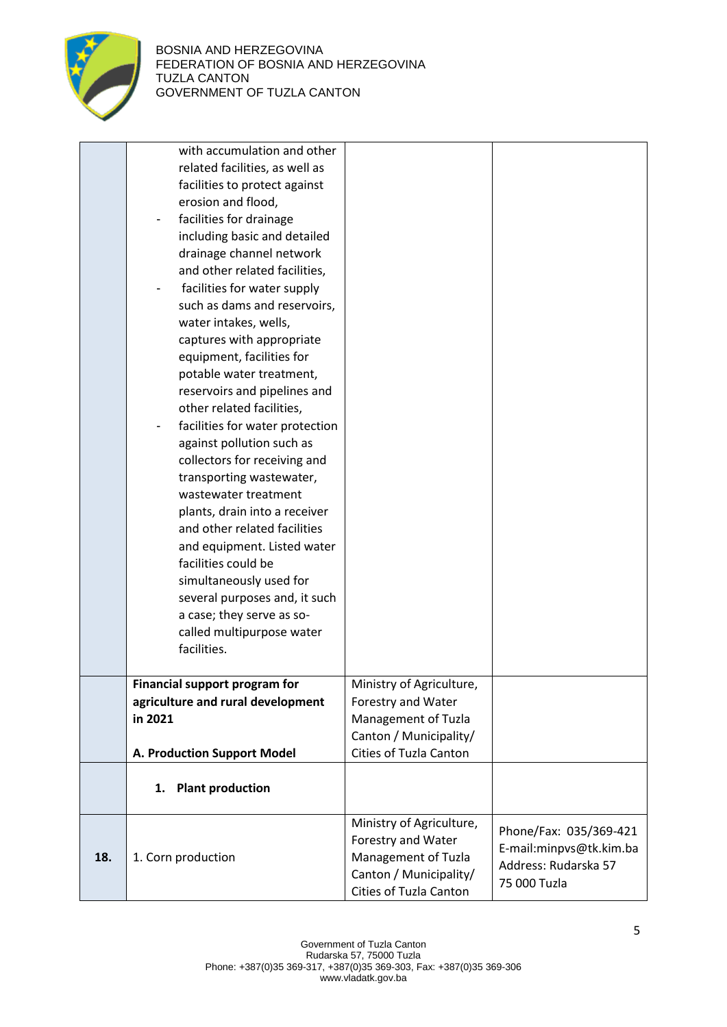

|     | with accumulation and other<br>related facilities, as well as<br>facilities to protect against<br>erosion and flood,<br>facilities for drainage<br>including basic and detailed<br>drainage channel network<br>and other related facilities,<br>facilities for water supply<br>such as dams and reservoirs,<br>water intakes, wells,<br>captures with appropriate<br>equipment, facilities for<br>potable water treatment,<br>reservoirs and pipelines and<br>other related facilities,<br>facilities for water protection<br>against pollution such as<br>collectors for receiving and<br>transporting wastewater,<br>wastewater treatment<br>plants, drain into a receiver<br>and other related facilities<br>and equipment. Listed water<br>facilities could be<br>simultaneously used for<br>several purposes and, it such<br>a case; they serve as so-<br>called multipurpose water |                                                                                                                           |                                                                                           |
|-----|------------------------------------------------------------------------------------------------------------------------------------------------------------------------------------------------------------------------------------------------------------------------------------------------------------------------------------------------------------------------------------------------------------------------------------------------------------------------------------------------------------------------------------------------------------------------------------------------------------------------------------------------------------------------------------------------------------------------------------------------------------------------------------------------------------------------------------------------------------------------------------------|---------------------------------------------------------------------------------------------------------------------------|-------------------------------------------------------------------------------------------|
|     | facilities.                                                                                                                                                                                                                                                                                                                                                                                                                                                                                                                                                                                                                                                                                                                                                                                                                                                                              |                                                                                                                           |                                                                                           |
|     | <b>Financial support program for</b><br>agriculture and rural development<br>in 2021<br>A. Production Support Model                                                                                                                                                                                                                                                                                                                                                                                                                                                                                                                                                                                                                                                                                                                                                                      | Ministry of Agriculture,<br>Forestry and Water<br>Management of Tuzla<br>Canton / Municipality/<br>Cities of Tuzla Canton |                                                                                           |
|     | <b>Plant production</b><br>1.                                                                                                                                                                                                                                                                                                                                                                                                                                                                                                                                                                                                                                                                                                                                                                                                                                                            |                                                                                                                           |                                                                                           |
| 18. | 1. Corn production                                                                                                                                                                                                                                                                                                                                                                                                                                                                                                                                                                                                                                                                                                                                                                                                                                                                       | Ministry of Agriculture,<br>Forestry and Water<br>Management of Tuzla<br>Canton / Municipality/<br>Cities of Tuzla Canton | Phone/Fax: 035/369-421<br>E-mail:minpvs@tk.kim.ba<br>Address: Rudarska 57<br>75 000 Tuzla |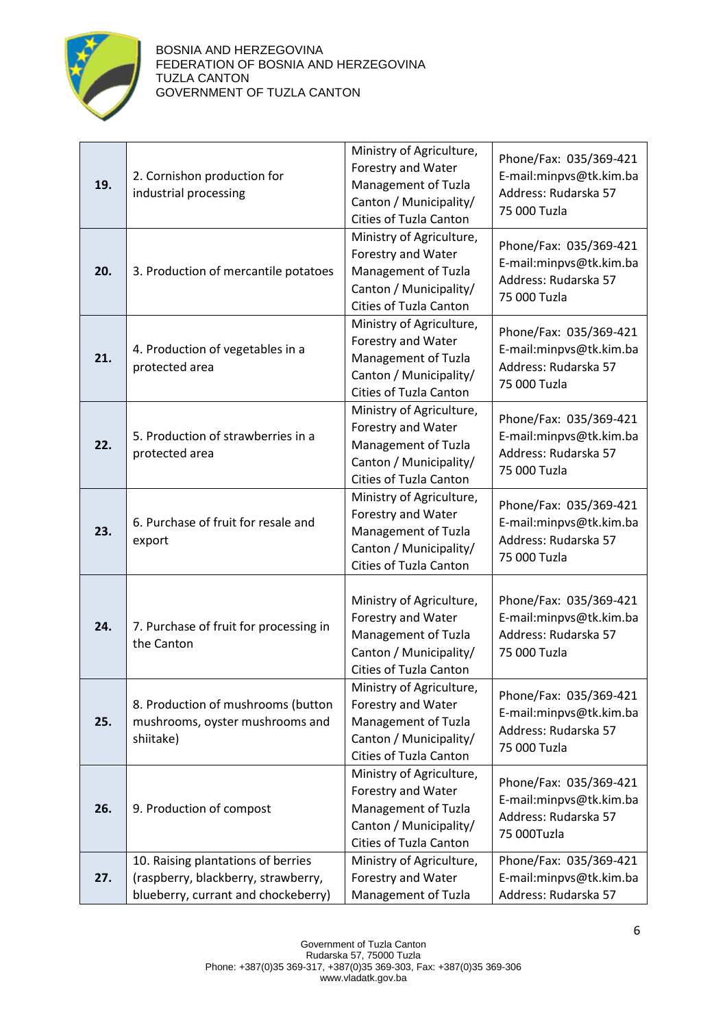

| 19. | 2. Cornishon production for<br>industrial processing                                                             | Ministry of Agriculture,<br>Forestry and Water<br>Management of Tuzla<br>Canton / Municipality/<br>Cities of Tuzla Canton | Phone/Fax: 035/369-421<br>E-mail:minpvs@tk.kim.ba<br>Address: Rudarska 57<br>75 000 Tuzla |
|-----|------------------------------------------------------------------------------------------------------------------|---------------------------------------------------------------------------------------------------------------------------|-------------------------------------------------------------------------------------------|
| 20. | 3. Production of mercantile potatoes                                                                             | Ministry of Agriculture,<br>Forestry and Water<br>Management of Tuzla<br>Canton / Municipality/<br>Cities of Tuzla Canton | Phone/Fax: 035/369-421<br>E-mail:minpvs@tk.kim.ba<br>Address: Rudarska 57<br>75 000 Tuzla |
| 21. | 4. Production of vegetables in a<br>protected area                                                               | Ministry of Agriculture,<br>Forestry and Water<br>Management of Tuzla<br>Canton / Municipality/<br>Cities of Tuzla Canton | Phone/Fax: 035/369-421<br>E-mail:minpvs@tk.kim.ba<br>Address: Rudarska 57<br>75 000 Tuzla |
| 22. | 5. Production of strawberries in a<br>protected area                                                             | Ministry of Agriculture,<br>Forestry and Water<br>Management of Tuzla<br>Canton / Municipality/<br>Cities of Tuzla Canton | Phone/Fax: 035/369-421<br>E-mail:minpvs@tk.kim.ba<br>Address: Rudarska 57<br>75 000 Tuzla |
| 23. | 6. Purchase of fruit for resale and<br>export                                                                    | Ministry of Agriculture,<br>Forestry and Water<br>Management of Tuzla<br>Canton / Municipality/<br>Cities of Tuzla Canton | Phone/Fax: 035/369-421<br>E-mail:minpvs@tk.kim.ba<br>Address: Rudarska 57<br>75 000 Tuzla |
| 24. | 7. Purchase of fruit for processing in<br>the Canton                                                             | Ministry of Agriculture,<br>Forestry and Water<br>Management of Tuzla<br>Canton / Municipality/<br>Cities of Tuzla Canton | Phone/Fax: 035/369-421<br>E-mail:minpvs@tk.kim.ba<br>Address: Rudarska 57<br>75 000 Tuzla |
| 25. | 8. Production of mushrooms (button<br>mushrooms, oyster mushrooms and<br>shiitake)                               | Ministry of Agriculture,<br>Forestry and Water<br>Management of Tuzla<br>Canton / Municipality/<br>Cities of Tuzla Canton | Phone/Fax: 035/369-421<br>E-mail:minpvs@tk.kim.ba<br>Address: Rudarska 57<br>75 000 Tuzla |
| 26. | 9. Production of compost                                                                                         | Ministry of Agriculture,<br>Forestry and Water<br>Management of Tuzla<br>Canton / Municipality/<br>Cities of Tuzla Canton | Phone/Fax: 035/369-421<br>E-mail:minpvs@tk.kim.ba<br>Address: Rudarska 57<br>75 000Tuzla  |
| 27. | 10. Raising plantations of berries<br>(raspberry, blackberry, strawberry,<br>blueberry, currant and chockeberry) | Ministry of Agriculture,<br>Forestry and Water<br>Management of Tuzla                                                     | Phone/Fax: 035/369-421<br>E-mail:minpvs@tk.kim.ba<br>Address: Rudarska 57                 |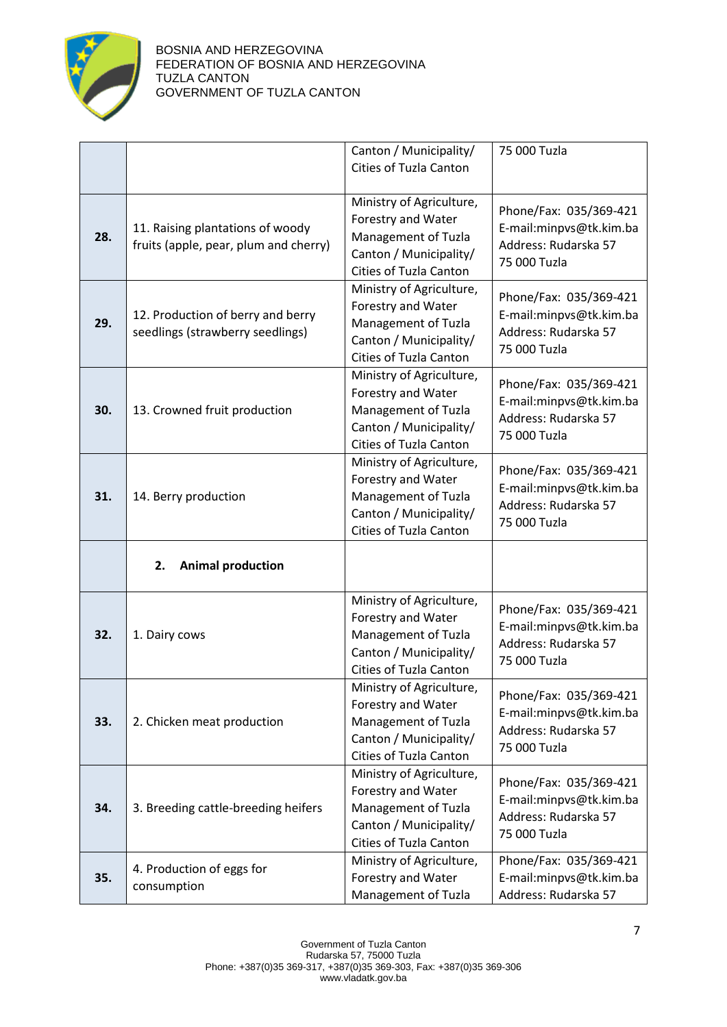

|     |                                                                           | Canton / Municipality/<br><b>Cities of Tuzla Canton</b>                                                                   | 75 000 Tuzla                                                                              |
|-----|---------------------------------------------------------------------------|---------------------------------------------------------------------------------------------------------------------------|-------------------------------------------------------------------------------------------|
| 28. | 11. Raising plantations of woody<br>fruits (apple, pear, plum and cherry) | Ministry of Agriculture,<br>Forestry and Water<br>Management of Tuzla<br>Canton / Municipality/<br>Cities of Tuzla Canton | Phone/Fax: 035/369-421<br>E-mail:minpvs@tk.kim.ba<br>Address: Rudarska 57<br>75 000 Tuzla |
| 29. | 12. Production of berry and berry<br>seedlings (strawberry seedlings)     | Ministry of Agriculture,<br>Forestry and Water<br>Management of Tuzla<br>Canton / Municipality/<br>Cities of Tuzla Canton | Phone/Fax: 035/369-421<br>E-mail:minpvs@tk.kim.ba<br>Address: Rudarska 57<br>75 000 Tuzla |
| 30. | 13. Crowned fruit production                                              | Ministry of Agriculture,<br>Forestry and Water<br>Management of Tuzla<br>Canton / Municipality/<br>Cities of Tuzla Canton | Phone/Fax: 035/369-421<br>E-mail:minpvs@tk.kim.ba<br>Address: Rudarska 57<br>75 000 Tuzla |
| 31. | 14. Berry production                                                      | Ministry of Agriculture,<br>Forestry and Water<br>Management of Tuzla<br>Canton / Municipality/<br>Cities of Tuzla Canton | Phone/Fax: 035/369-421<br>E-mail:minpvs@tk.kim.ba<br>Address: Rudarska 57<br>75 000 Tuzla |
|     | <b>Animal production</b><br>2.                                            |                                                                                                                           |                                                                                           |
| 32. | 1. Dairy cows                                                             | Ministry of Agriculture,<br>Forestry and Water<br>Management of Tuzla<br>Canton / Municipality/<br>Cities of Tuzla Canton | Phone/Fax: 035/369-421<br>E-mail:minpvs@tk.kim.ba<br>Address: Rudarska 57<br>75 000 Tuzla |
| 33. | 2. Chicken meat production                                                | Ministry of Agriculture,<br>Forestry and Water<br>Management of Tuzla<br>Canton / Municipality/<br>Cities of Tuzla Canton | Phone/Fax: 035/369-421<br>E-mail:minpvs@tk.kim.ba<br>Address: Rudarska 57<br>75 000 Tuzla |
| 34. | 3. Breeding cattle-breeding heifers                                       | Ministry of Agriculture,<br>Forestry and Water<br>Management of Tuzla<br>Canton / Municipality/<br>Cities of Tuzla Canton | Phone/Fax: 035/369-421<br>E-mail:minpvs@tk.kim.ba<br>Address: Rudarska 57<br>75 000 Tuzla |
| 35. | 4. Production of eggs for<br>consumption                                  | Ministry of Agriculture,<br>Forestry and Water<br>Management of Tuzla                                                     | Phone/Fax: 035/369-421<br>E-mail:minpvs@tk.kim.ba<br>Address: Rudarska 57                 |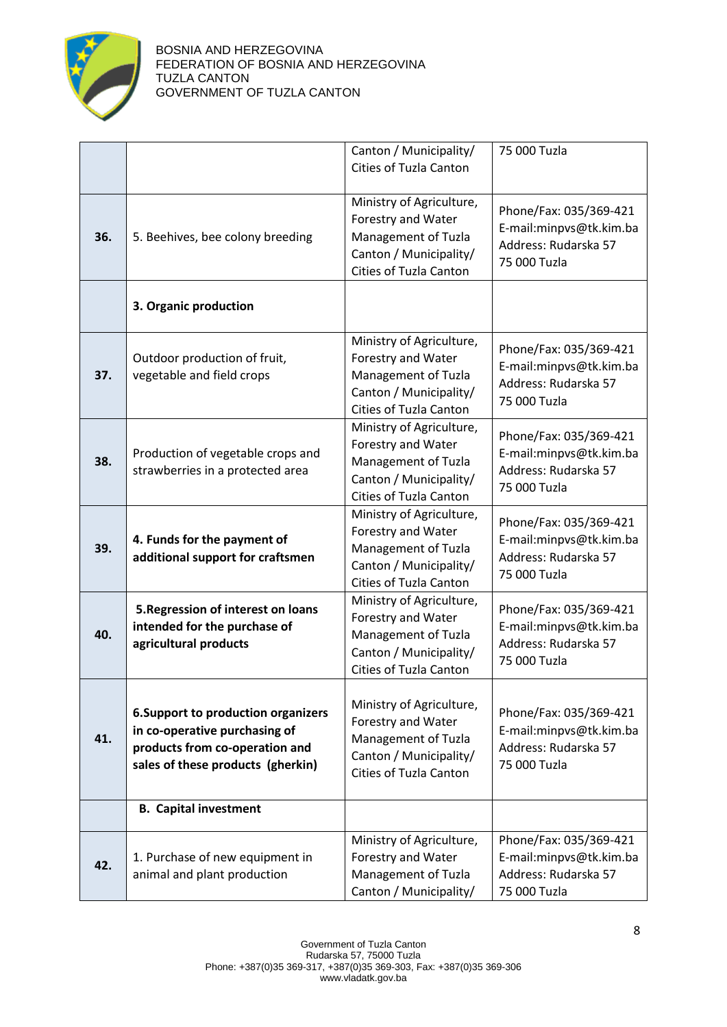

|     |                                                                    | Canton / Municipality/   | 75 000 Tuzla                                      |
|-----|--------------------------------------------------------------------|--------------------------|---------------------------------------------------|
|     |                                                                    | Cities of Tuzla Canton   |                                                   |
|     |                                                                    |                          |                                                   |
|     |                                                                    | Ministry of Agriculture, |                                                   |
|     |                                                                    | Forestry and Water       | Phone/Fax: 035/369-421                            |
| 36. | 5. Beehives, bee colony breeding                                   | Management of Tuzla      | E-mail:minpvs@tk.kim.ba                           |
|     |                                                                    | Canton / Municipality/   | Address: Rudarska 57                              |
|     |                                                                    | Cities of Tuzla Canton   | 75 000 Tuzla                                      |
|     |                                                                    |                          |                                                   |
|     | 3. Organic production                                              |                          |                                                   |
|     |                                                                    |                          |                                                   |
|     |                                                                    | Ministry of Agriculture, |                                                   |
|     | Outdoor production of fruit,                                       | Forestry and Water       | Phone/Fax: 035/369-421                            |
| 37. | vegetable and field crops                                          | Management of Tuzla      | E-mail:minpvs@tk.kim.ba                           |
|     |                                                                    | Canton / Municipality/   | Address: Rudarska 57                              |
|     |                                                                    | Cities of Tuzla Canton   | 75 000 Tuzla                                      |
|     |                                                                    | Ministry of Agriculture, |                                                   |
|     |                                                                    | Forestry and Water       | Phone/Fax: 035/369-421                            |
| 38. | Production of vegetable crops and                                  | Management of Tuzla      | E-mail:minpvs@tk.kim.ba                           |
|     | strawberries in a protected area                                   | Canton / Municipality/   | Address: Rudarska 57                              |
|     |                                                                    | Cities of Tuzla Canton   | 75 000 Tuzla                                      |
|     |                                                                    | Ministry of Agriculture, |                                                   |
|     |                                                                    | Forestry and Water       | Phone/Fax: 035/369-421                            |
| 39. | 4. Funds for the payment of                                        | Management of Tuzla      | E-mail:minpvs@tk.kim.ba                           |
|     | additional support for craftsmen                                   | Canton / Municipality/   | Address: Rudarska 57                              |
|     |                                                                    | Cities of Tuzla Canton   | 75 000 Tuzla                                      |
|     |                                                                    | Ministry of Agriculture, |                                                   |
|     | 5. Regression of interest on loans<br>intended for the purchase of | Forestry and Water       | Phone/Fax: 035/369-421<br>E-mail:minpvs@tk.kim.ba |
| 40. | agricultural products                                              | Management of Tuzla      | Address: Rudarska 57                              |
|     |                                                                    | Canton / Municipality/   | 75 000 Tuzla                                      |
|     |                                                                    | Cities of Tuzla Canton   |                                                   |
|     |                                                                    |                          |                                                   |
|     | <b>6. Support to production organizers</b>                         | Ministry of Agriculture, | Phone/Fax: 035/369-421                            |
|     | in co-operative purchasing of                                      | Forestry and Water       | E-mail:minpvs@tk.kim.ba                           |
| 41. | products from co-operation and                                     | Management of Tuzla      | Address: Rudarska 57                              |
|     | sales of these products (gherkin)                                  | Canton / Municipality/   | 75 000 Tuzla                                      |
|     |                                                                    | Cities of Tuzla Canton   |                                                   |
|     |                                                                    |                          |                                                   |
|     | <b>B.</b> Capital investment                                       |                          |                                                   |
|     |                                                                    | Ministry of Agriculture, | Phone/Fax: 035/369-421                            |
| 42. | 1. Purchase of new equipment in                                    | Forestry and Water       | E-mail:minpvs@tk.kim.ba                           |
|     | animal and plant production                                        | Management of Tuzla      | Address: Rudarska 57                              |
|     |                                                                    | Canton / Municipality/   | 75 000 Tuzla                                      |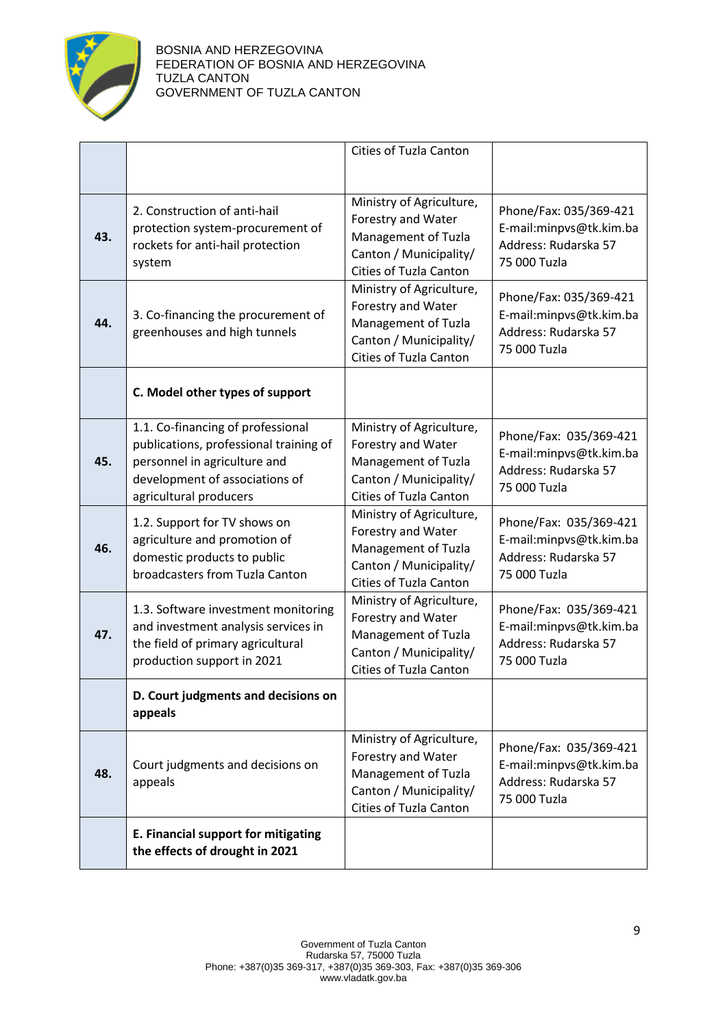

|     |                                                                                                                                                                         | <b>Cities of Tuzla Canton</b>                                                                                                    |                                                                                           |
|-----|-------------------------------------------------------------------------------------------------------------------------------------------------------------------------|----------------------------------------------------------------------------------------------------------------------------------|-------------------------------------------------------------------------------------------|
| 43. | 2. Construction of anti-hail<br>protection system-procurement of<br>rockets for anti-hail protection<br>system                                                          | Ministry of Agriculture,<br>Forestry and Water<br>Management of Tuzla<br>Canton / Municipality/<br><b>Cities of Tuzla Canton</b> | Phone/Fax: 035/369-421<br>E-mail:minpvs@tk.kim.ba<br>Address: Rudarska 57<br>75 000 Tuzla |
| 44. | 3. Co-financing the procurement of<br>greenhouses and high tunnels                                                                                                      | Ministry of Agriculture,<br>Forestry and Water<br>Management of Tuzla<br>Canton / Municipality/<br>Cities of Tuzla Canton        | Phone/Fax: 035/369-421<br>E-mail:minpvs@tk.kim.ba<br>Address: Rudarska 57<br>75 000 Tuzla |
|     | C. Model other types of support                                                                                                                                         |                                                                                                                                  |                                                                                           |
| 45. | 1.1. Co-financing of professional<br>publications, professional training of<br>personnel in agriculture and<br>development of associations of<br>agricultural producers | Ministry of Agriculture,<br>Forestry and Water<br>Management of Tuzla<br>Canton / Municipality/<br>Cities of Tuzla Canton        | Phone/Fax: 035/369-421<br>E-mail:minpvs@tk.kim.ba<br>Address: Rudarska 57<br>75 000 Tuzla |
| 46. | 1.2. Support for TV shows on<br>agriculture and promotion of<br>domestic products to public<br>broadcasters from Tuzla Canton                                           | Ministry of Agriculture,<br>Forestry and Water<br>Management of Tuzla<br>Canton / Municipality/<br>Cities of Tuzla Canton        | Phone/Fax: 035/369-421<br>E-mail:minpvs@tk.kim.ba<br>Address: Rudarska 57<br>75 000 Tuzla |
| 47. | 1.3. Software investment monitoring<br>and investment analysis services in<br>the field of primary agricultural<br>production support in 2021                           | Ministry of Agriculture,<br>Forestry and Water<br>Management of Tuzla<br>Canton / Municipality/<br>Cities of Tuzla Canton        | Phone/Fax: 035/369-421<br>E-mail:minpvs@tk.kim.ba<br>Address: Rudarska 57<br>75 000 Tuzla |
|     | D. Court judgments and decisions on<br>appeals                                                                                                                          |                                                                                                                                  |                                                                                           |
| 48. | Court judgments and decisions on<br>appeals                                                                                                                             | Ministry of Agriculture,<br>Forestry and Water<br>Management of Tuzla<br>Canton / Municipality/<br>Cities of Tuzla Canton        | Phone/Fax: 035/369-421<br>E-mail:minpvs@tk.kim.ba<br>Address: Rudarska 57<br>75 000 Tuzla |
|     | E. Financial support for mitigating<br>the effects of drought in 2021                                                                                                   |                                                                                                                                  |                                                                                           |